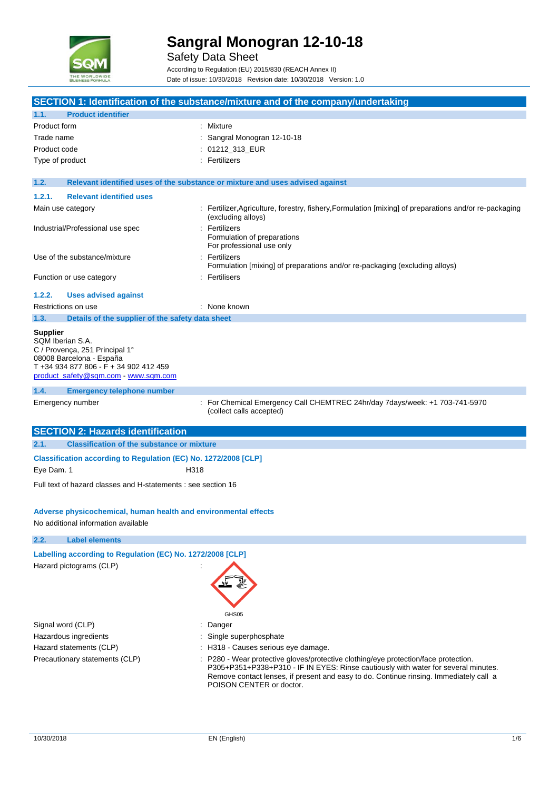

Safety Data Sheet

According to Regulation (EU) 2015/830 (REACH Annex II) Date of issue: 10/30/2018 Revision date: 10/30/2018 Version: 1.0

|                 |                                                                                                                                                                  |                                                                           | SECTION 1: Identification of the substance/mixture and of the company/undertaking                      |
|-----------------|------------------------------------------------------------------------------------------------------------------------------------------------------------------|---------------------------------------------------------------------------|--------------------------------------------------------------------------------------------------------|
| 1.1.            | <b>Product identifier</b>                                                                                                                                        |                                                                           |                                                                                                        |
| Product form    |                                                                                                                                                                  | Mixture                                                                   |                                                                                                        |
| Trade name      |                                                                                                                                                                  |                                                                           | Sangral Monogran 12-10-18                                                                              |
|                 |                                                                                                                                                                  |                                                                           |                                                                                                        |
| Product code    |                                                                                                                                                                  | 01212_313_EUR                                                             |                                                                                                        |
| Type of product |                                                                                                                                                                  | Fertilizers                                                               |                                                                                                        |
| 1.2.            | Relevant identified uses of the substance or mixture and uses advised against                                                                                    |                                                                           |                                                                                                        |
| 1.2.1.          | <b>Relevant identified uses</b>                                                                                                                                  |                                                                           |                                                                                                        |
|                 | Main use category                                                                                                                                                | (excluding alloys)                                                        | : Fertilizer, Agriculture, forestry, fishery, Formulation [mixing] of preparations and/or re-packaging |
|                 | Industrial/Professional use spec                                                                                                                                 | : Fertilizers<br>Formulation of preparations<br>For professional use only |                                                                                                        |
|                 | Use of the substance/mixture                                                                                                                                     | Fertilizers                                                               | Formulation [mixing] of preparations and/or re-packaging (excluding alloys)                            |
|                 | Function or use category                                                                                                                                         | : Fertilisers                                                             |                                                                                                        |
| 1.2.2.          | <b>Uses advised against</b>                                                                                                                                      |                                                                           |                                                                                                        |
|                 | Restrictions on use                                                                                                                                              | : None known                                                              |                                                                                                        |
| 1.3.            | Details of the supplier of the safety data sheet                                                                                                                 |                                                                           |                                                                                                        |
| <b>Supplier</b> | SQM Iberian S.A.<br>C / Provença, 251 Principal 1°<br>08008 Barcelona - España<br>T +34 934 877 806 - F + 34 902 412 459<br>product_safety@sqm.com - www.sqm.com |                                                                           |                                                                                                        |
| 1.4.            | <b>Emergency telephone number</b>                                                                                                                                |                                                                           |                                                                                                        |
|                 | Emergency number                                                                                                                                                 | (collect calls accepted)                                                  | : For Chemical Emergency Call CHEMTREC 24hr/day 7days/week: +1 703-741-5970                            |
|                 | <b>SECTION 2: Hazards identification</b>                                                                                                                         |                                                                           |                                                                                                        |
| 2.1.            | <b>Classification of the substance or mixture</b>                                                                                                                |                                                                           |                                                                                                        |
|                 | Classification according to Regulation (EC) No. 1272/2008 [CLP]                                                                                                  |                                                                           |                                                                                                        |
| Eye Dam. 1      | H318                                                                                                                                                             |                                                                           |                                                                                                        |
|                 | Full text of hazard classes and H-statements : see section 16                                                                                                    |                                                                           |                                                                                                        |
|                 | Adverse physicochemical, human health and environmental effects<br>No additional information available                                                           |                                                                           |                                                                                                        |
| 2.2.            | <b>Label elements</b>                                                                                                                                            |                                                                           |                                                                                                        |
|                 | Labelling according to Regulation (EC) No. 1272/2008 [CLP]<br>Hazard pictograms (CLP)                                                                            |                                                                           |                                                                                                        |
|                 |                                                                                                                                                                  | GHS05                                                                     |                                                                                                        |

- Signal word (CLP)  $\qquad \qquad$ : Danger
- Hazardous ingredients **interest in the set of the Single superphosphate** : Single superphosphate
- Hazard statements (CLP)  $\qquad \qquad$  : H318 Causes serious eye damage.
- Precautionary statements (CLP) : P280 Wear protective gloves/protective clothing/eye protection/face protection. P305+P351+P338+P310 - IF IN EYES: Rinse cautiously with water for several minutes. Remove contact lenses, if present and easy to do. Continue rinsing. Immediately call a POISON CENTER or doctor.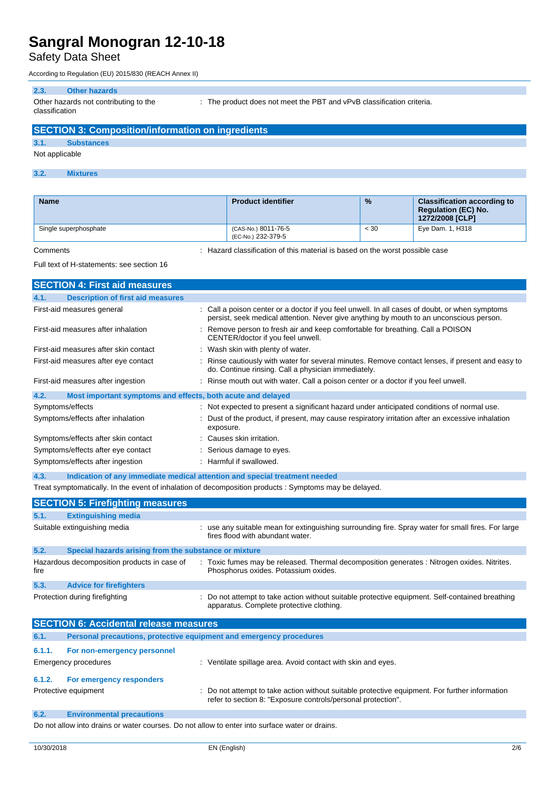### Safety Data Sheet

According to Regulation (EU) 2015/830 (REACH Annex II)

#### **2.3. Other hazards**

Other hazards not contributing to the classification

: The product does not meet the PBT and vPvB classification criteria.

# **SECTION 3: Composition/information on ingredients 3.1. Substances** Not applicable

#### **3.2. Mixtures**

| <b>Name</b>           | <b>Product identifier</b>                 | $\frac{9}{6}$ | <b>Classification according to</b><br><b>Regulation (EC) No.</b><br>1272/2008 [CLP] |
|-----------------------|-------------------------------------------|---------------|-------------------------------------------------------------------------------------|
| Single superphosphate | (CAS-No.) 8011-76-5<br>(EC-No.) 232-379-5 | < 30          | Eye Dam. 1, H318                                                                    |

Comments : Hazard classification of this material is based on the worst possible case

#### Full text of H-statements: see section 16

|                                                                             | <b>SECTION 4: First aid measures</b>                                       |  |                                                                                                                                                                                           |  |
|-----------------------------------------------------------------------------|----------------------------------------------------------------------------|--|-------------------------------------------------------------------------------------------------------------------------------------------------------------------------------------------|--|
| 4.1.                                                                        | <b>Description of first aid measures</b>                                   |  |                                                                                                                                                                                           |  |
|                                                                             | First-aid measures general                                                 |  | : Call a poison center or a doctor if you feel unwell. In all cases of doubt, or when symptoms<br>persist, seek medical attention. Never give anything by mouth to an unconscious person. |  |
|                                                                             | First-aid measures after inhalation                                        |  | : Remove person to fresh air and keep comfortable for breathing. Call a POISON<br>CENTER/doctor if you feel unwell.                                                                       |  |
|                                                                             | First-aid measures after skin contact                                      |  | Wash skin with plenty of water.                                                                                                                                                           |  |
|                                                                             | First-aid measures after eye contact                                       |  | Rinse cautiously with water for several minutes. Remove contact lenses, if present and easy to<br>do. Continue rinsing. Call a physician immediately.                                     |  |
|                                                                             | First-aid measures after ingestion                                         |  | Rinse mouth out with water. Call a poison center or a doctor if you feel unwell.                                                                                                          |  |
| 4.2.                                                                        | Most important symptoms and effects, both acute and delayed                |  |                                                                                                                                                                                           |  |
|                                                                             | Symptoms/effects                                                           |  | Not expected to present a significant hazard under anticipated conditions of normal use.                                                                                                  |  |
|                                                                             | Symptoms/effects after inhalation                                          |  | Dust of the product, if present, may cause respiratory irritation after an excessive inhalation<br>exposure.                                                                              |  |
|                                                                             | Symptoms/effects after skin contact                                        |  | Causes skin irritation.                                                                                                                                                                   |  |
|                                                                             | Symptoms/effects after eye contact                                         |  | Serious damage to eyes.                                                                                                                                                                   |  |
| Symptoms/effects after ingestion<br>Harmful if swallowed.                   |                                                                            |  |                                                                                                                                                                                           |  |
| 4.3.                                                                        | Indication of any immediate medical attention and special treatment needed |  |                                                                                                                                                                                           |  |
|                                                                             |                                                                            |  | Treat symptomatically. In the event of inhalation of decomposition products : Symptoms may be delayed.                                                                                    |  |
|                                                                             | <b>SECTION 5: Firefighting measures</b>                                    |  |                                                                                                                                                                                           |  |
| 5.1.                                                                        | <b>Extinguishing media</b>                                                 |  |                                                                                                                                                                                           |  |
|                                                                             | Suitable extinguishing media                                               |  | : use any suitable mean for extinguishing surrounding fire. Spray water for small fires. For large<br>fires flood with abundant water.                                                    |  |
| 5.2.                                                                        | Special hazards arising from the substance or mixture                      |  |                                                                                                                                                                                           |  |
| fire                                                                        | Hazardous decomposition products in case of                                |  | Toxic fumes may be released. Thermal decomposition generates : Nitrogen oxides. Nitrites.<br>Phosphorus oxides. Potassium oxides.                                                         |  |
| 5.3.                                                                        | <b>Advice for firefighters</b>                                             |  |                                                                                                                                                                                           |  |
|                                                                             | Protection during firefighting                                             |  | Do not attempt to take action without suitable protective equipment. Self-contained breathing<br>apparatus. Complete protective clothing.                                                 |  |
| <b>SECTION 6: Accidental release measures</b>                               |                                                                            |  |                                                                                                                                                                                           |  |
| Personal precautions, protective equipment and emergency procedures<br>6.1. |                                                                            |  |                                                                                                                                                                                           |  |
| 6.1.1.                                                                      | For non-emergency personnel                                                |  |                                                                                                                                                                                           |  |
|                                                                             | Emergency procedures                                                       |  | : Ventilate spillage area. Avoid contact with skin and eyes.                                                                                                                              |  |
| 6.1.2.                                                                      | For emergency responders                                                   |  |                                                                                                                                                                                           |  |
|                                                                             | Protective equipment                                                       |  | Do not attempt to take action without suitable protective equipment. For further information<br>refer to section 8: "Exposure controls/personal protection".                              |  |
| 6.2.                                                                        | <b>Environmental precautions</b>                                           |  |                                                                                                                                                                                           |  |

Do not allow into drains or water courses. Do not allow to enter into surface water or drains.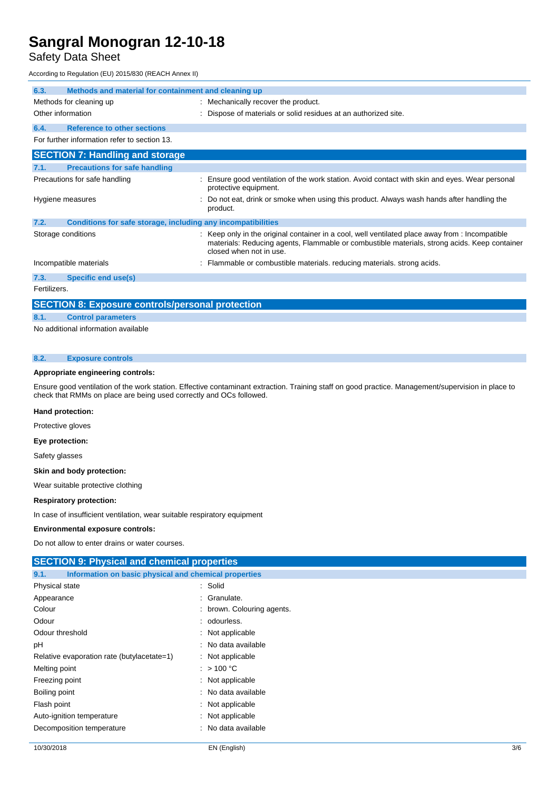### Safety Data Sheet

According to Regulation (EU) 2015/830 (REACH Annex II)

| 6.3.              | Methods and material for containment and cleaning up         |                                                                                                                                                                                                                            |
|-------------------|--------------------------------------------------------------|----------------------------------------------------------------------------------------------------------------------------------------------------------------------------------------------------------------------------|
|                   | Methods for cleaning up                                      | : Mechanically recover the product.                                                                                                                                                                                        |
| Other information |                                                              | Dispose of materials or solid residues at an authorized site.                                                                                                                                                              |
| 6.4.              | <b>Reference to other sections</b>                           |                                                                                                                                                                                                                            |
|                   | For further information refer to section 13.                 |                                                                                                                                                                                                                            |
|                   | <b>SECTION 7: Handling and storage</b>                       |                                                                                                                                                                                                                            |
| 7.1.              | <b>Precautions for safe handling</b>                         |                                                                                                                                                                                                                            |
|                   | Precautions for safe handling                                | Ensure good ventilation of the work station. Avoid contact with skin and eyes. Wear personal<br>protective equipment.                                                                                                      |
|                   | Hygiene measures                                             | Do not eat, drink or smoke when using this product. Always wash hands after handling the<br>product.                                                                                                                       |
| 7.2.              | Conditions for safe storage, including any incompatibilities |                                                                                                                                                                                                                            |
|                   | Storage conditions                                           | : Keep only in the original container in a cool, well ventilated place away from : Incompatible<br>materials: Reducing agents, Flammable or combustible materials, strong acids. Keep container<br>closed when not in use. |
|                   | Incompatible materials                                       | : Flammable or combustible materials. reducing materials. strong acids.                                                                                                                                                    |
| 7.3.              | Specific end use(s)                                          |                                                                                                                                                                                                                            |
| Fertilizers.      |                                                              |                                                                                                                                                                                                                            |
|                   | <b>SECTION 8: Exposure controls/personal protection</b>      |                                                                                                                                                                                                                            |
| 8.1.              | <b>Control parameters</b>                                    |                                                                                                                                                                                                                            |

No additional information available

#### **8.2. Exposure controls**

#### **Appropriate engineering controls:**

Ensure good ventilation of the work station. Effective contaminant extraction. Training staff on good practice. Management/supervision in place to check that RMMs on place are being used correctly and OCs followed.

#### **Hand protection:**

Protective gloves

#### **Eye protection:**

Safety glasses

#### **Skin and body protection:**

Wear suitable protective clothing

#### **Respiratory protection:**

In case of insufficient ventilation, wear suitable respiratory equipment

#### **Environmental exposure controls:**

Do not allow to enter drains or water courses.

| <b>SECTION 9: Physical and chemical properties</b>            |                            |  |  |
|---------------------------------------------------------------|----------------------------|--|--|
| Information on basic physical and chemical properties<br>9.1. |                            |  |  |
| Physical state                                                | : Solid                    |  |  |
| Appearance                                                    | : Granulate.               |  |  |
| Colour                                                        | : brown. Colouring agents. |  |  |
| Odour                                                         | : odourless.               |  |  |
| Odour threshold                                               | : Not applicable           |  |  |
| рH                                                            | : No data available        |  |  |
| Relative evaporation rate (butylacetate=1)                    | $:$ Not applicable         |  |  |
| Melting point                                                 | : $>100 °C$                |  |  |
| Freezing point                                                | : Not applicable           |  |  |
| Boiling point                                                 | : No data available        |  |  |
| Flash point                                                   | $:$ Not applicable         |  |  |
| Auto-ignition temperature                                     | $:$ Not applicable         |  |  |
| Decomposition temperature                                     | : No data available        |  |  |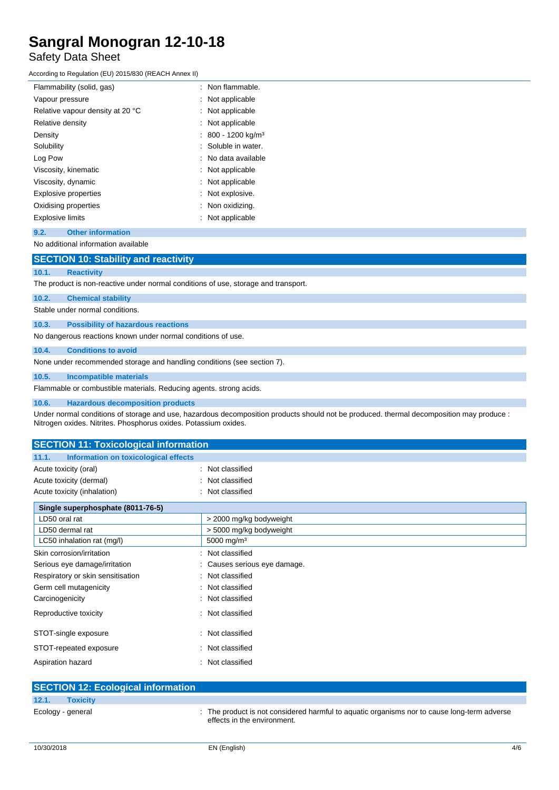### Safety Data Sheet

According to Regulation (EU) 2015/830 (REACH Annex II)

| Flammability (solid, gas)        | Non flammable.               |
|----------------------------------|------------------------------|
| Vapour pressure                  | Not applicable               |
| Relative vapour density at 20 °C | Not applicable               |
| Relative density                 | Not applicable               |
| Density                          | 800 - 1200 kg/m <sup>3</sup> |
| Solubility                       | Soluble in water.            |
| Log Pow                          | No data available            |
| Viscosity, kinematic             | Not applicable               |
| Viscosity, dynamic               | Not applicable               |
| <b>Explosive properties</b>      | Not explosive.               |
| Oxidising properties             | Non oxidizing.               |
| <b>Explosive limits</b>          | Not applicable               |
|                                  |                              |

#### **9.2. Other information**

#### No additional information available

### **SECTION 10: Stability and reactivity**

#### **10.1. Reactivity**

The product is non-reactive under normal conditions of use, storage and transport.

#### **10.2. Chemical stability**

Stable under normal conditions.

#### **10.3. Possibility of hazardous reactions**

No dangerous reactions known under normal conditions of use.

#### **10.4. Conditions to avoid**

None under recommended storage and handling conditions (see section 7).

#### **10.5. Incompatible materials**

Flammable or combustible materials. Reducing agents. strong acids.

#### **10.6. Hazardous decomposition products**

Under normal conditions of storage and use, hazardous decomposition products should not be produced. thermal decomposition may produce : Nitrogen oxides. Nitrites. Phosphorus oxides. Potassium oxides.

| <b>SECTION 11: Toxicological information</b>  |                              |  |  |  |
|-----------------------------------------------|------------------------------|--|--|--|
| Information on toxicological effects<br>11.1. |                              |  |  |  |
| Acute toxicity (oral)                         | : Not classified             |  |  |  |
| Acute toxicity (dermal)                       | Not classified               |  |  |  |
| Acute toxicity (inhalation)<br>÷              | Not classified               |  |  |  |
| Single superphosphate (8011-76-5)             |                              |  |  |  |
| LD50 oral rat                                 | > 2000 mg/kg bodyweight      |  |  |  |
| LD50 dermal rat                               | > 5000 mg/kg bodyweight      |  |  |  |
| LC50 inhalation rat (mg/l)                    | 5000 mg/m <sup>3</sup>       |  |  |  |
| Skin corrosion/irritation<br>٠                | Not classified               |  |  |  |
| Serious eye damage/irritation                 | : Causes serious eye damage. |  |  |  |
| Respiratory or skin sensitisation             | : Not classified             |  |  |  |
| Germ cell mutagenicity                        | Not classified               |  |  |  |
| Carcinogenicity                               | : Not classified             |  |  |  |
| Reproductive toxicity                         | : Not classified             |  |  |  |
| STOT-single exposure                          | : Not classified             |  |  |  |
| STOT-repeated exposure<br>÷                   | Not classified               |  |  |  |
| Aspiration hazard<br>۰                        | Not classified               |  |  |  |

| <b>SECTION 12: Ecological information</b> |                                                                                                                            |
|-------------------------------------------|----------------------------------------------------------------------------------------------------------------------------|
| 12.1.<br><b>Toxicity</b>                  |                                                                                                                            |
| Ecology - general                         | : The product is not considered harmful to aquatic organisms nor to cause long-term adverse<br>effects in the environment. |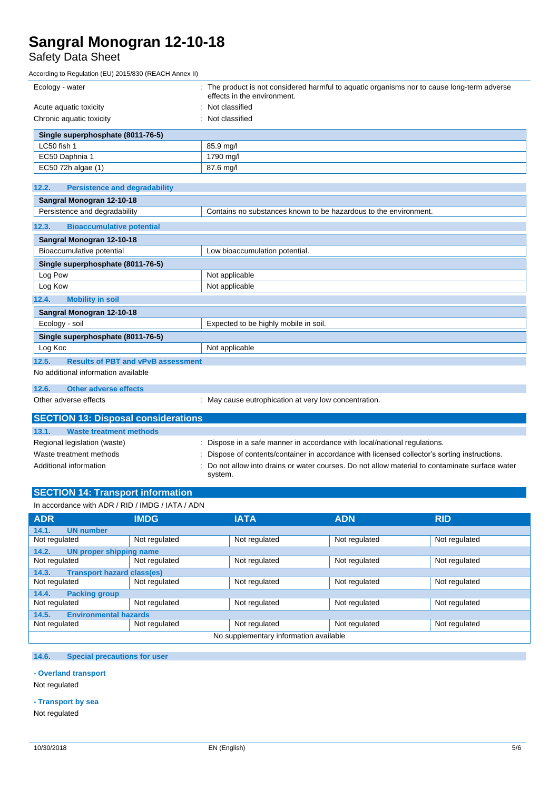## Safety Data Sheet

According to Regulation (EU) 2015/830 (REACH Annex II)

| Ecology - water                                    | : The product is not considered harmful to aquatic organisms nor to cause long-term adverse<br>effects in the environment. |
|----------------------------------------------------|----------------------------------------------------------------------------------------------------------------------------|
| Acute aquatic toxicity                             | Not classified                                                                                                             |
| Chronic aquatic toxicity                           | Not classified                                                                                                             |
| Single superphosphate (8011-76-5)                  |                                                                                                                            |
| LC50 fish 1                                        | 85.9 mg/l                                                                                                                  |
| EC50 Daphnia 1                                     | 1790 mg/l                                                                                                                  |
| EC50 72h algae (1)                                 | 87.6 mg/l                                                                                                                  |
| 12.2.<br><b>Persistence and degradability</b>      |                                                                                                                            |
| Sangral Monogran 12-10-18                          |                                                                                                                            |
| Persistence and degradability                      | Contains no substances known to be hazardous to the environment.                                                           |
| 12.3.<br><b>Bioaccumulative potential</b>          |                                                                                                                            |
| Sangral Monogran 12-10-18                          |                                                                                                                            |
| Bioaccumulative potential                          | Low bioaccumulation potential.                                                                                             |
| Single superphosphate (8011-76-5)                  |                                                                                                                            |
| Log Pow                                            | Not applicable                                                                                                             |
| Log Kow                                            | Not applicable                                                                                                             |
| <b>Mobility in soil</b><br>12.4.                   |                                                                                                                            |
| Sangral Monogran 12-10-18                          |                                                                                                                            |
| Ecology - soil                                     | Expected to be highly mobile in soil.                                                                                      |
| Single superphosphate (8011-76-5)                  |                                                                                                                            |
| Log Koc                                            | Not applicable                                                                                                             |
| 12.5.<br><b>Results of PBT and vPvB assessment</b> |                                                                                                                            |
| No additional information available                |                                                                                                                            |
| <b>Other adverse effects</b><br>12.6.              |                                                                                                                            |
| Other adverse effects                              | May cause eutrophication at very low concentration.                                                                        |
| <b>SECTION 13: Disposal considerations</b>         |                                                                                                                            |
| 13.1.<br><b>Waste treatment methods</b>            |                                                                                                                            |
| Regional legislation (waste)                       | : Dispose in a safe manner in accordance with local/national regulations.                                                  |
| Waste treatment methods                            | Dispose of contents/container in accordance with licensed collector's sorting instructions.                                |
| Additional information                             | Do not allow into drains or water courses. Do not allow material to contaminate surface water<br>system.                   |
| <b>SECTION 14: Transport information</b>           |                                                                                                                            |
| In accordance with ADR / RID / IMDG / IATA / ADN   |                                                                                                                            |
|                                                    |                                                                                                                            |

| <b>ADR</b>                                                                        | <b>IMDG</b>   | <b>IATA</b>   | <b>ADN</b>    | <b>RID</b>    |  |
|-----------------------------------------------------------------------------------|---------------|---------------|---------------|---------------|--|
| <b>UN number</b><br>14.1.                                                         |               |               |               |               |  |
| Not regulated                                                                     | Not regulated | Not regulated | Not regulated | Not regulated |  |
| <b>UN proper shipping name</b><br>14.2.                                           |               |               |               |               |  |
| Not regulated                                                                     | Not regulated | Not regulated | Not regulated | Not regulated |  |
| <b>Transport hazard class(es)</b><br>14.3.                                        |               |               |               |               |  |
| Not regulated                                                                     | Not regulated | Not regulated | Not regulated | Not regulated |  |
| 14.4.<br><b>Packing group</b>                                                     |               |               |               |               |  |
| Not regulated<br>Not regulated<br>Not regulated<br>Not regulated<br>Not regulated |               |               |               |               |  |
| <b>Environmental hazards</b><br>14.5.                                             |               |               |               |               |  |
| Not regulated                                                                     | Not regulated | Not regulated | Not regulated | Not regulated |  |
| No supplementary information available                                            |               |               |               |               |  |

### **14.6. Special precautions for user**

**- Overland transport**

Not regulated

#### **- Transport by sea**

Not regulated